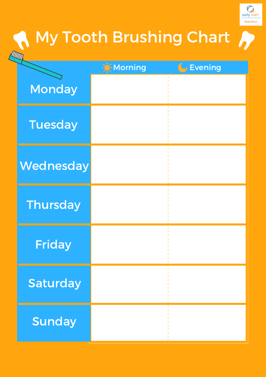

## **A** My Tooth Brushing Chart

| <b>ANTION</b>   |         |           |
|-----------------|---------|-----------|
|                 | Morning | G Evening |
| <b>Monday</b>   |         | $\bullet$ |
| <b>Tuesday</b>  |         | ۰         |
| Wednesday       |         |           |
| <b>Thursday</b> |         | $\bullet$ |
| <b>Friday</b>   |         |           |
| Saturday        |         | ٠         |
| <b>Sunday</b>   |         | ٠         |